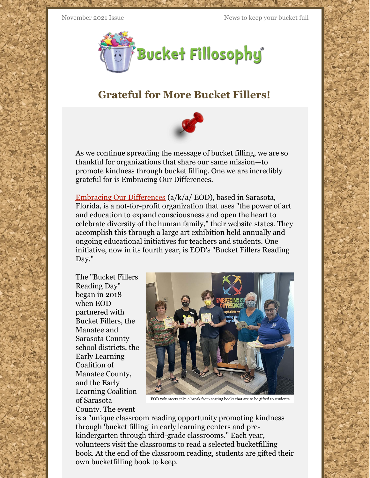

## **Grateful for More Bucket Fillers!**



As we continue spreading the message of bucket filling, we are so thankful for organizations that share our same mission—to promote kindness through bucket filling. One we are incredibly grateful for is Embracing Our Differences.

Embracing Our [Differences](https://embracingourdifferences.org) (a/k/a/ EOD), based in Sarasota, Florida, is a not-for-profit organization that uses "the power of art and education to expand consciousness and open the heart to celebrate diversity of the human family," their website states. They accomplish this through a large art exhibition held annually and ongoing educational initiatives for teachers and students. One initiative, now in its fourth year, is EOD's "Bucket Fillers Reading Day."

The "Bucket Fillers Reading Day" began in 2018 when EOD partnered with Bucket Fillers, the Manatee and Sarasota County school districts, the Early Learning Coalition of Manatee County, and the Early Learning Coalition of Sarasota County. The event



EOD volunteers take a break from sorting books that are to be gifted to students

is a "unique classroom reading opportunity promoting kindness through 'bucket filling' in early learning centers and prekindergarten through third-grade classrooms." Each year, volunteers visit the classrooms to read a selected bucketfilling book. At the end of the classroom reading, students are gifted their own bucketfilling book to keep.